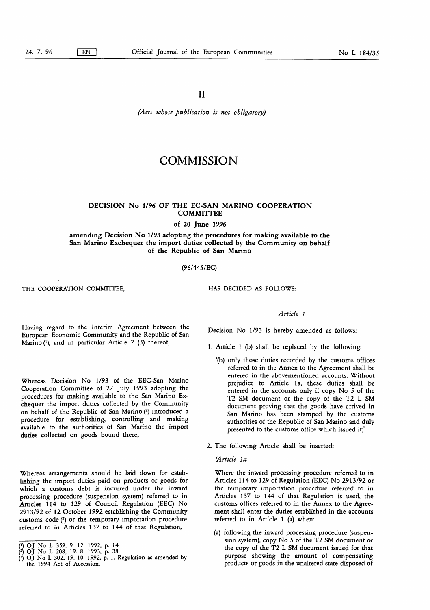(Acts whose publication is not obligatory)

# **COMMISSION**

#### DECISION No 1/96 OF THE EC-SAN MARINO COOPERATION **COMMITTEE**

#### of 20 June 1996

amending Decision No 1/93 adopting the procedures for making available to the San Marino Exchequer the import duties collected by the Community on behalf of the Republic of San Marino

### (96/445/EC)

THE COOPERATION COMMITTEE, THE COOPER SECOND HAS DECIDED AS FOLLOWS:

Having regard to the Interim Agreement between the European Economic Community and the Republic of San Marino (1), and in particular Article 7 (3) thereof,

Whereas Decision No 1/93 of the EEC-San Marino Cooperation Committee of 27 July 1993 adopting the procedures for making available to the San Marino Exchequer the import duties collected by the Community on behalf of the Republic of San Marino (2) introduced a procedure for establishing, controlling and making available to the authorities of San Marino the import duties collected on goods bound there;

Whereas arrangements should be laid down for establishing the import duties paid on products or goods for which a customs debt is incurred under the inward processing procedure (suspension system) referred to in Articles 114 to 129 of Council Regulation (EEC) No 2913/92 of 12 October 1992 establishing the Community customs code (3) or the temporary importation procedure referred to in Articles 137 to 144 of that Regulation,

### Article <sup>1</sup>

Decision No 1/93 is hereby amended as follows:

- <sup>1</sup> . Article <sup>1</sup> (b) shall be replaced by the following:
	- '(b) only those duties recorded by the customs offices referred to in the Annex to the Agreement shall be entered in the abovementioned accounts. Without prejudice to Article la, these duties shall be entered in the accounts only if copy No 5 of the T2 SM document or the copy of the T2 L SM document proving that the goods have arrived in San Marino has been stamped by the customs authorities of the Republic of San Marino and duly presented to the customs office which issued it;'
- 2. The following Article shall be inserted:

#### 'Article 1a

Where the inward processing procedure referred to in Articles <sup>1</sup> 14 to 129 of Regulation (EEC) No 2913/92 or the temporary importation procedure referred to in Articles 137 to 144 of that Regulation is used, the customs offices referred to in the Annex to the Agreement shall enter the duties established in the accounts referred to in Article <sup>1</sup> (a) when:

(a) following the inward processing procedure (suspension system), copy No 5 of the T2 SM document or the copy of the T2 L SM document issued for that purpose showing the amount of compensating products or goods in the unaltered state disposed of

<sup>(&#</sup>x27;) OJ No L 359, 9. 12. 1992, p. 14.

<sup>(2)</sup> OJ No L 208, 19. 8 . 1993, p. 38.

<sup>(3)</sup> OJ No L 302, 19. 10. 1992, p. <sup>1</sup> . Regulation as amended by the 1994 Act of Accession.